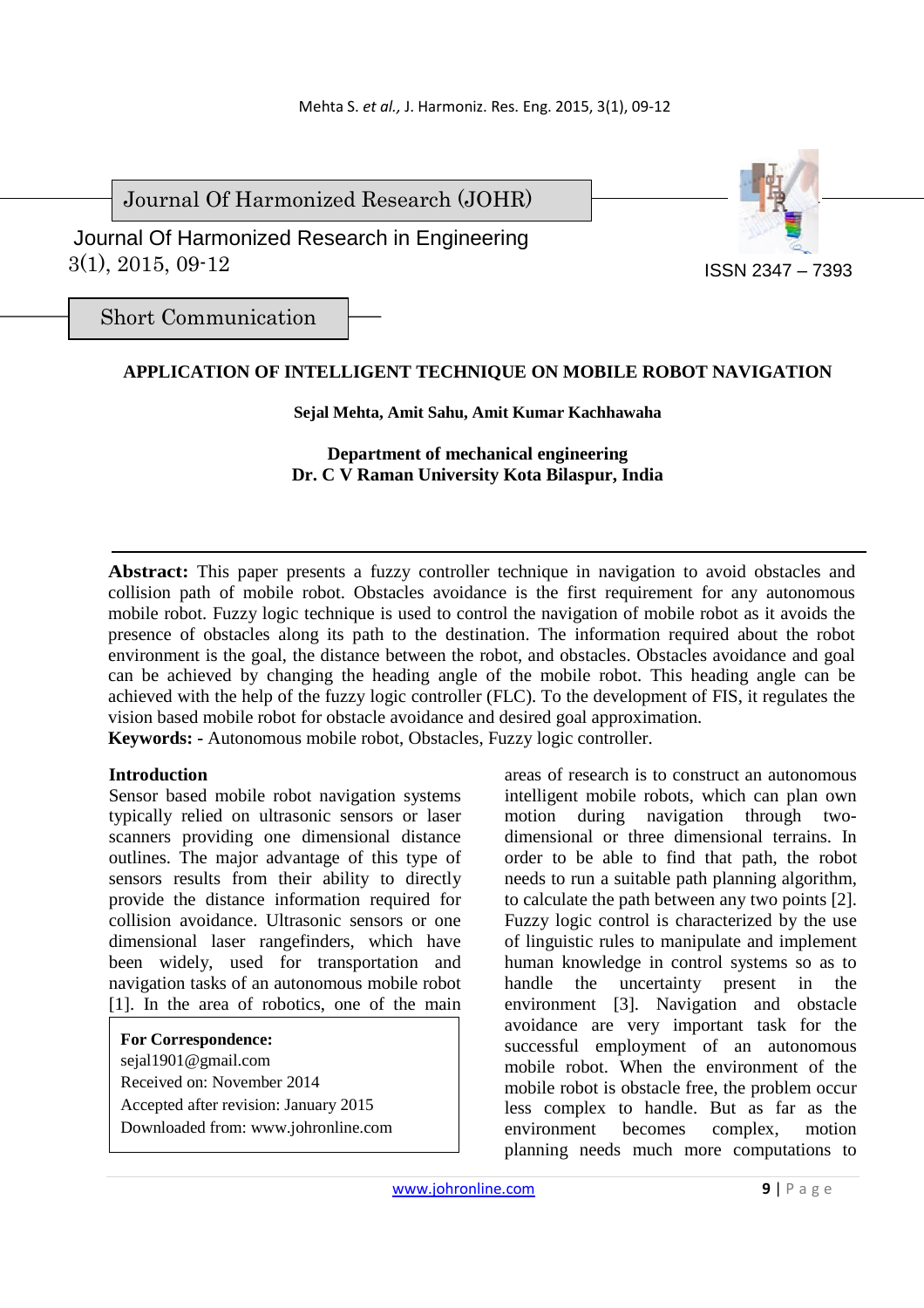Journal Of Harmonized Research (JOHR)

 3(1), 2015, 09-12 Journal Of Harmonized Research in Engineering



Short Communication

## **APPLICATION OF INTELLIGENT TECHNIQUE ON MOBILE ROBOT NAVIGATION**

### **Sejal Mehta, Amit Sahu, Amit Kumar Kachhawaha**

**Department of mechanical engineering Dr. C V Raman University Kota Bilaspur, India**

**Abstract:** This paper presents a fuzzy controller technique in navigation to avoid obstacles and collision path of mobile robot. Obstacles avoidance is the first requirement for any autonomous mobile robot. Fuzzy logic technique is used to control the navigation of mobile robot as it avoids the presence of obstacles along its path to the destination. The information required about the robot environment is the goal, the distance between the robot, and obstacles. Obstacles avoidance and goal can be achieved by changing the heading angle of the mobile robot. This heading angle can be achieved with the help of the fuzzy logic controller (FLC). To the development of FIS, it regulates the vision based mobile robot for obstacle avoidance and desired goal approximation.

**Keywords: -** Autonomous mobile robot, Obstacles, Fuzzy logic controller.

## **Introduction**

Sensor based mobile robot navigation systems typically relied on ultrasonic sensors or laser scanners providing one dimensional distance outlines. The major advantage of this type of sensors results from their ability to directly provide the distance information required for collision avoidance. Ultrasonic sensors or one dimensional laser rangefinders, which have been widely, used for transportation and navigation tasks of an autonomous mobile robot [1]. In the area of robotics, one of the main

**For Correspondence:**  sejal1901@gmail.com Received on: November 2014 Accepted after revision: January 2015 Downloaded from: www.johronline.com areas of research is to construct an autonomous intelligent mobile robots, which can plan own motion during navigation through twodimensional or three dimensional terrains. In order to be able to find that path, the robot needs to run a suitable path planning algorithm, to calculate the path between any two points [2]. Fuzzy logic control is characterized by the use of linguistic rules to manipulate and implement human knowledge in control systems so as to handle the uncertainty present in the environment [3]. Navigation and obstacle avoidance are very important task for the successful employment of an autonomous mobile robot. When the environment of the mobile robot is obstacle free, the problem occur less complex to handle. But as far as the environment becomes complex, motion planning needs much more computations to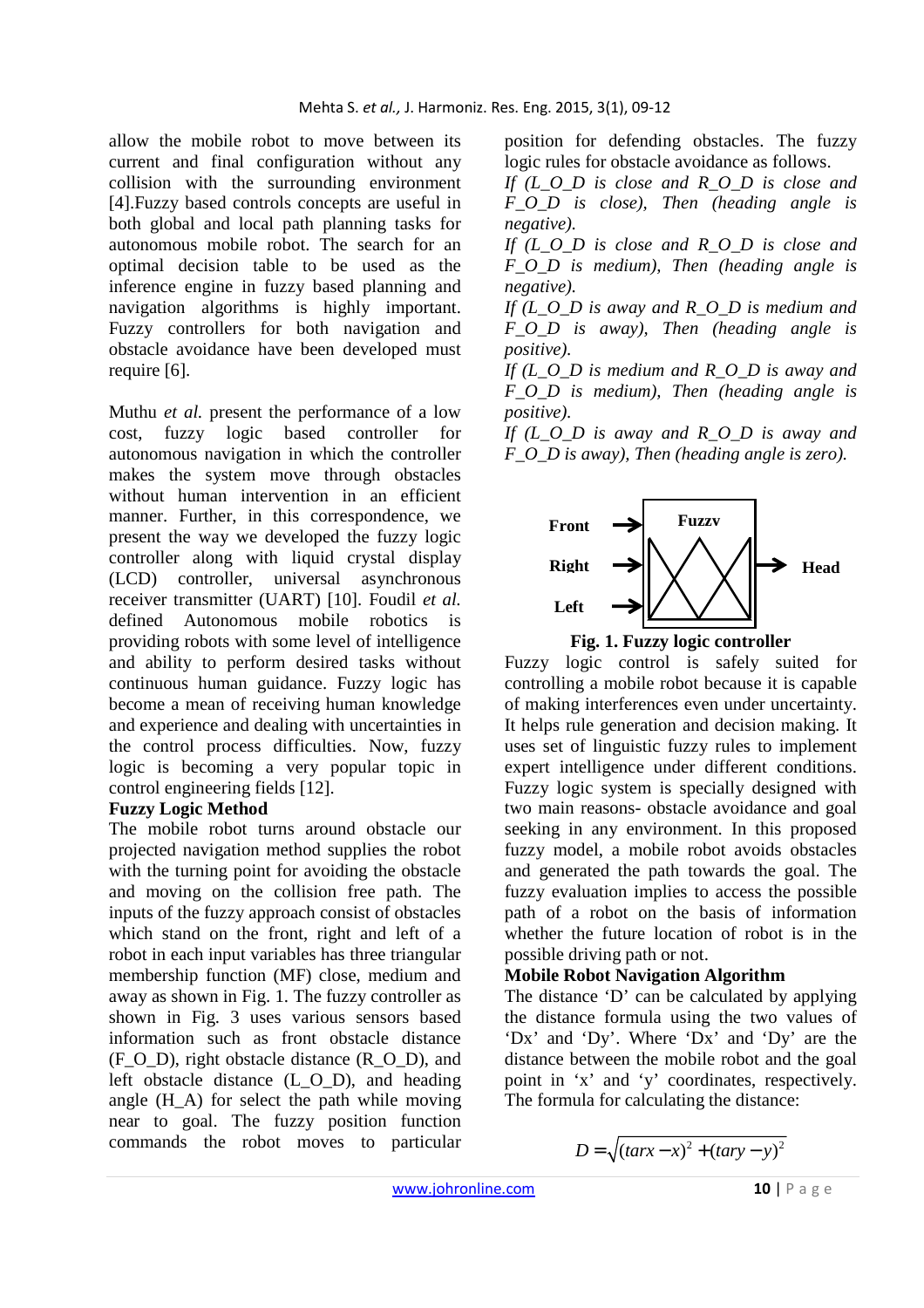allow the mobile robot to move between its current and final configuration without any collision with the surrounding environment [4].Fuzzy based controls concepts are useful in both global and local path planning tasks for autonomous mobile robot. The search for an optimal decision table to be used as the inference engine in fuzzy based planning and navigation algorithms is highly important. Fuzzy controllers for both navigation and obstacle avoidance have been developed must require [6].

Muthu *et al.* present the performance of a low cost, fuzzy logic based controller for autonomous navigation in which the controller makes the system move through obstacles without human intervention in an efficient manner. Further, in this correspondence, we present the way we developed the fuzzy logic controller along with liquid crystal display (LCD) controller, universal asynchronous receiver transmitter (UART) [10]. Foudil *et al.*  defined Autonomous mobile robotics is providing robots with some level of intelligence and ability to perform desired tasks without continuous human guidance. Fuzzy logic has become a mean of receiving human knowledge and experience and dealing with uncertainties in the control process difficulties. Now, fuzzy logic is becoming a very popular topic in control engineering fields [12].

## **Fuzzy Logic Method**

The mobile robot turns around obstacle our projected navigation method supplies the robot with the turning point for avoiding the obstacle and moving on the collision free path. The inputs of the fuzzy approach consist of obstacles which stand on the front, right and left of a robot in each input variables has three triangular membership function (MF) close, medium and away as shown in Fig. 1. The fuzzy controller as shown in Fig. 3 uses various sensors based information such as front obstacle distance (F\_O\_D), right obstacle distance  $(R_0_0_0)$ , and left obstacle distance (L\_O\_D), and heading angle (H\_A) for select the path while moving near to goal. The fuzzy position function commands the robot moves to particular

position for defending obstacles. The fuzzy logic rules for obstacle avoidance as follows.

*If (L\_O\_D is close and R\_O\_D is close and F\_O\_D is close), Then (heading angle is negative).* 

*If (L\_O\_D is close and R\_O\_D is close and F\_O\_D is medium), Then (heading angle is negative).* 

*If (L\_O\_D is away and R\_O\_D is medium and F\_O\_D is away), Then (heading angle is positive).* 

*If (L\_O\_D is medium and R\_O\_D is away and F\_O\_D is medium), Then (heading angle is positive).* 

*If (L\_O\_D is away and R\_O\_D is away and F\_O\_D is away), Then (heading angle is zero).* 



**Fig. 1. Fuzzy logic controller** 

Fuzzy logic control is safely suited for controlling a mobile robot because it is capable of making interferences even under uncertainty. It helps rule generation and decision making. It uses set of linguistic fuzzy rules to implement expert intelligence under different conditions. Fuzzy logic system is specially designed with two main reasons- obstacle avoidance and goal seeking in any environment. In this proposed fuzzy model, a mobile robot avoids obstacles and generated the path towards the goal. The fuzzy evaluation implies to access the possible path of a robot on the basis of information whether the future location of robot is in the possible driving path or not.

# **Mobile Robot Navigation Algorithm**

The distance 'D' can be calculated by applying the distance formula using the two values of 'Dx' and 'Dy'. Where 'Dx' and 'Dy' are the distance between the mobile robot and the goal point in 'x' and 'y' coordinates, respectively. The formula for calculating the distance:

 $D = \sqrt{(tar x - x)^2 + (tar y - y)^2}$ 

$$
in the volume  $\sum_{i=1}^{n} a_i$
$$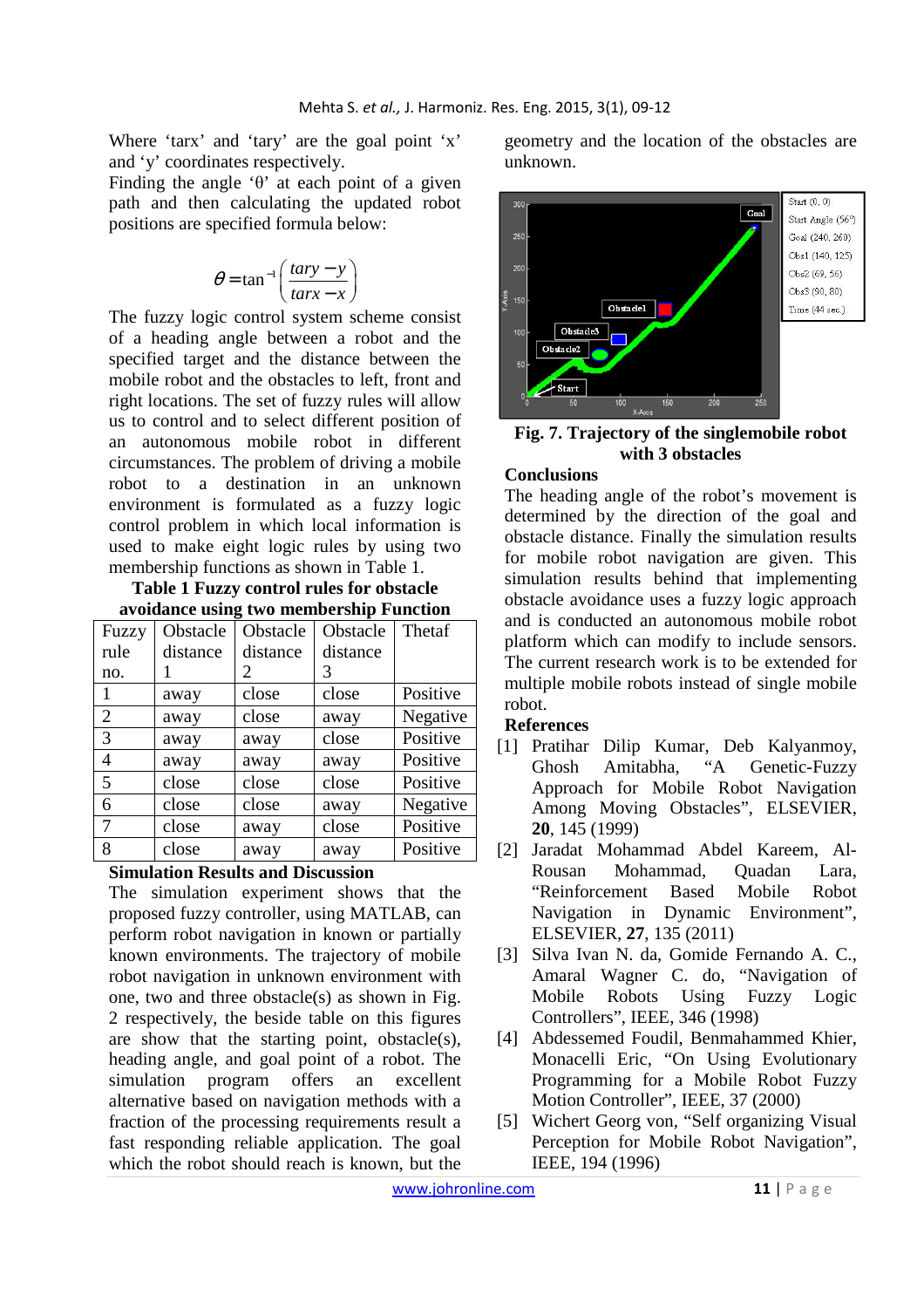Where 'tarx' and 'tary' are the goal point 'x' and 'y' coordinates respectively.

Finding the angle ' $\theta$ ' at each point of a given path and then calculating the updated robot positions are specified formula below:

$$
\theta = \tan^{-1}\left(\frac{tary - y}{tary - x}\right)
$$

The fuzzy logic control system scheme consist of a heading angle between a robot and the specified target and the distance between the mobile robot and the obstacles to left, front and right locations. The set of fuzzy rules will allow us to control and to select different position of an autonomous mobile robot in different circumstances. The problem of driving a mobile robot to a destination in an unknown environment is formulated as a fuzzy logic control problem in which local information is used to make eight logic rules by using two membership functions as shown in Table 1.

**Table 1 Fuzzy control rules for obstacle avoidance using two membership Function** 

| Fuzzy | Obstacle | Obstacle | Obstacle | Thetaf   |
|-------|----------|----------|----------|----------|
| rule  | distance | distance | distance |          |
| no.   |          | 2        | 3        |          |
|       | away     | close    | close    | Positive |
| 2     | away     | close    | away     | Negative |
| 3     | away     | away     | close    | Positive |
| 4     | away     | away     | away     | Positive |
| 5     | close    | close    | close    | Positive |
| 6     | close    | close    | away     | Negative |
| 7     | close    | away     | close    | Positive |
| 8     | close    | away     | away     | Positive |

### **Simulation Results and Discussion**

The simulation experiment shows that the proposed fuzzy controller, using MATLAB, can perform robot navigation in known or partially known environments. The trajectory of mobile robot navigation in unknown environment with one, two and three obstacle(s) as shown in Fig. 2 respectively, the beside table on this figures are show that the starting point, obstacle(s), heading angle, and goal point of a robot. The simulation program offers an excellent alternative based on navigation methods with a fraction of the processing requirements result a fast responding reliable application. The goal which the robot should reach is known, but the geometry and the location of the obstacles are unknown.



**Fig. 7. Trajectory of the singlemobile robot with 3 obstacles** 

### **Conclusions**

The heading angle of the robot's movement is determined by the direction of the goal and obstacle distance. Finally the simulation results for mobile robot navigation are given. This simulation results behind that implementing obstacle avoidance uses a fuzzy logic approach and is conducted an autonomous mobile robot platform which can modify to include sensors. The current research work is to be extended for multiple mobile robots instead of single mobile robot.

### **References**

- [1] Pratihar Dilip Kumar, Deb Kalyanmoy, Ghosh Amitabha, "A Genetic-Fuzzy Approach for Mobile Robot Navigation Among Moving Obstacles", ELSEVIER, **20**, 145 (1999)
- [2] Jaradat Mohammad Abdel Kareem, Al-Rousan Mohammad, Quadan Lara, "Reinforcement Based Mobile Robot Navigation in Dynamic Environment", ELSEVIER, **27**, 135 (2011)
- [3] Silva Ivan N. da, Gomide Fernando A. C., Amaral Wagner C. do, "Navigation of Mobile Robots Using Fuzzy Logic Controllers", IEEE, 346 (1998)
- [4] Abdessemed Foudil, Benmahammed Khier, Monacelli Eric, "On Using Evolutionary Programming for a Mobile Robot Fuzzy Motion Controller", IEEE, 37 (2000)
- [5] Wichert Georg von, "Self organizing Visual Perception for Mobile Robot Navigation", IEEE, 194 (1996)